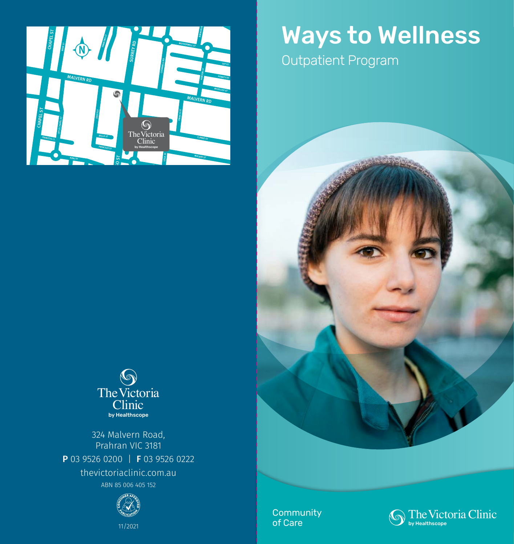

# Ways to Wellness

Outpatient Program



324 Malvern Road, Prahran VIC 3181 P 03 9526 0200 | F 03 9526 0222 thevictoriaclinic.com.au ABN 85 006 405 152



11/2021

**Community** of Care